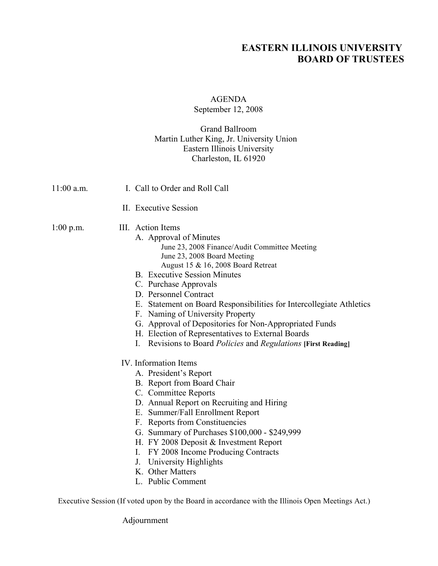# **EASTERN ILLINOIS UNIVERSITY BOARD OF TRUSTEES**

# AGENDA

### September 12, 2008

#### Grand Ballroom Martin Luther King, Jr. University Union Eastern Illinois University Charleston, IL 61920

| 11:00 a.m.  | I. Call to Order and Roll Call                                                                                                                                                                                                                                                                                                                                                                                                                                                                                                                                      |
|-------------|---------------------------------------------------------------------------------------------------------------------------------------------------------------------------------------------------------------------------------------------------------------------------------------------------------------------------------------------------------------------------------------------------------------------------------------------------------------------------------------------------------------------------------------------------------------------|
|             | II. Executive Session                                                                                                                                                                                                                                                                                                                                                                                                                                                                                                                                               |
| $1:00$ p.m. | III. Action Items<br>A. Approval of Minutes<br>June 23, 2008 Finance/Audit Committee Meeting<br>June 23, 2008 Board Meeting<br>August 15 & 16, 2008 Board Retreat<br><b>B.</b> Executive Session Minutes<br>C. Purchase Approvals<br>D. Personnel Contract<br>E. Statement on Board Responsibilities for Intercollegiate Athletics<br>F. Naming of University Property<br>G. Approval of Depositories for Non-Appropriated Funds<br>H. Election of Representatives to External Boards<br>Revisions to Board Policies and Regulations [First Reading]<br>$I_{\cdot}$ |
|             | IV. Information Items<br>A. President's Report<br>B. Report from Board Chair<br>C. Committee Reports<br>D. Annual Report on Recruiting and Hiring<br>E. Summer/Fall Enrollment Report<br>F. Reports from Constituencies<br>G. Summary of Purchases \$100,000 - \$249,999<br>H. FY 2008 Deposit & Investment Report<br>I. FY 2008 Income Producing Contracts<br><b>University Highlights</b><br>J.<br>K. Other Matters<br>L. Public Comment                                                                                                                          |

Executive Session (If voted upon by the Board in accordance with the Illinois Open Meetings Act.)

Adjournment